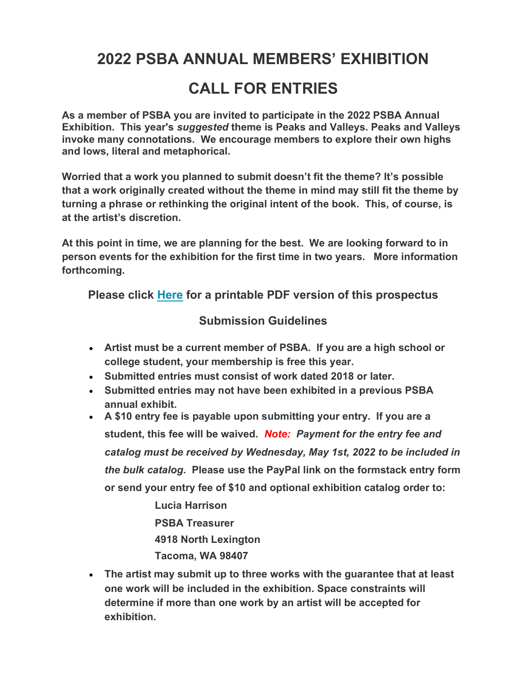# 2022 PSBA ANNUAL MEMBERS' EXHIBITION CALL FOR ENTRIES

As a member of PSBA you are invited to participate in the 2022 PSBA Annual Exhibition. This year's suggested theme is Peaks and Valleys. Peaks and Valleys invoke many connotations. We encourage members to explore their own highs and lows, literal and metaphorical.

Worried that a work you planned to submit doesn't fit the theme? It's possible that a work originally created without the theme in mind may still fit the theme by turning a phrase or rethinking the original intent of the book. This, of course, is at the artist's discretion.

At this point in time, we are planning for the best. We are looking forward to in person events for the exhibition for the first time in two years. More information forthcoming.

Please click Here for a printable PDF version of this prospectus

# Submission Guidelines

- Artist must be a current member of PSBA. If you are a high school or college student, your membership is free this year.
- Submitted entries must consist of work dated 2018 or later.
- Submitted entries may not have been exhibited in a previous PSBA annual exhibit.
- A \$10 entry fee is payable upon submitting your entry. If you are a student, this fee will be waived. Note: Payment for the entry fee and catalog must be received by Wednesday, May 1st, 2022 to be included in the bulk catalog. Please use the PayPal link on the formstack entry form or send your entry fee of \$10 and optional exhibition catalog order to:

Lucia Harrison PSBA Treasurer 4918 North Lexington Tacoma, WA 98407

 The artist may submit up to three works with the guarantee that at least one work will be included in the exhibition. Space constraints will determine if more than one work by an artist will be accepted for exhibition.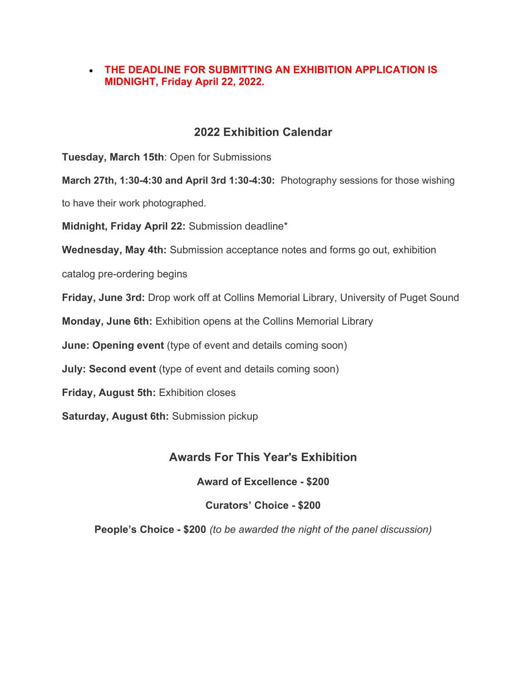#### THE DEADLINE FOR SUBMITTING AN EXHIBITION APPLICATION IS MIDNIGHT, Friday April 22, 2022.

# 2022 Exhibition Calendar

Tuesday, March 15th: Open for Submissions

March 27th, 1:30-4:30 and April 3rd 1:30-4:30: Photography sessions for those wishing

to have their work photographed.

Midnight, Friday April 22: Submission deadline\*

Wednesday, May 4th: Submission acceptance notes and forms go out, exhibition

catalog pre-ordering begins

Friday, June 3rd: Drop work off at Collins Memorial Library, University of Puget Sound

Monday, June 6th: Exhibition opens at the Collins Memorial Library

June: Opening event (type of event and details coming soon)

July: Second event (type of event and details coming soon)

Friday, August 5th: Exhibition closes

Saturday, August 6th: Submission pickup

# Awards For This Year's Exhibition

Award of Excellence - \$200

Curators' Choice - \$200

People's Choice - \$200 (to be awarded the night of the panel discussion)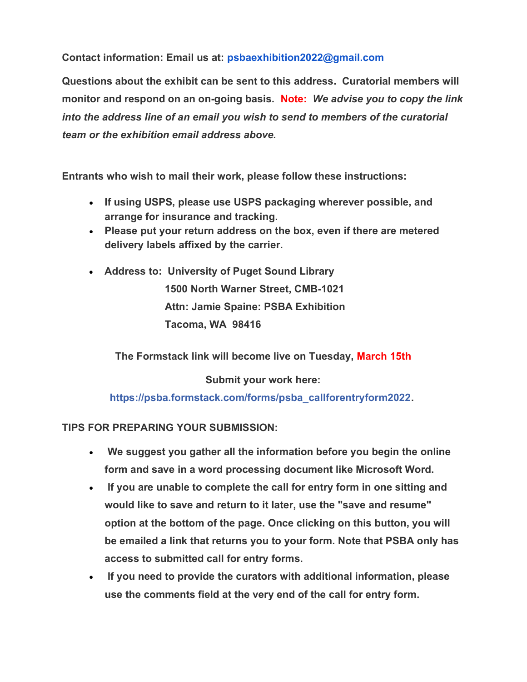Contact information: Email us at: psbaexhibition2022@gmail.com

Questions about the exhibit can be sent to this address. Curatorial members will monitor and respond on an on-going basis. Note: We advise you to copy the link into the address line of an email you wish to send to members of the curatorial team or the exhibition email address above.

Entrants who wish to mail their work, please follow these instructions:

- If using USPS, please use USPS packaging wherever possible, and arrange for insurance and tracking.
- Please put your return address on the box, even if there are metered delivery labels affixed by the carrier.
- Address to: University of Puget Sound Library 1500 North Warner Street, CMB-1021 Attn: Jamie Spaine: PSBA Exhibition Tacoma, WA 98416

The Formstack link will become live on Tuesday, March 15th

Submit your work here:

https://psba.formstack.com/forms/psba\_callforentryform2022.

TIPS FOR PREPARING YOUR SUBMISSION:

- We suggest you gather all the information before you begin the online form and save in a word processing document like Microsoft Word.
- If you are unable to complete the call for entry form in one sitting and would like to save and return to it later, use the "save and resume" option at the bottom of the page. Once clicking on this button, you will be emailed a link that returns you to your form. Note that PSBA only has access to submitted call for entry forms.
- If you need to provide the curators with additional information, please use the comments field at the very end of the call for entry form.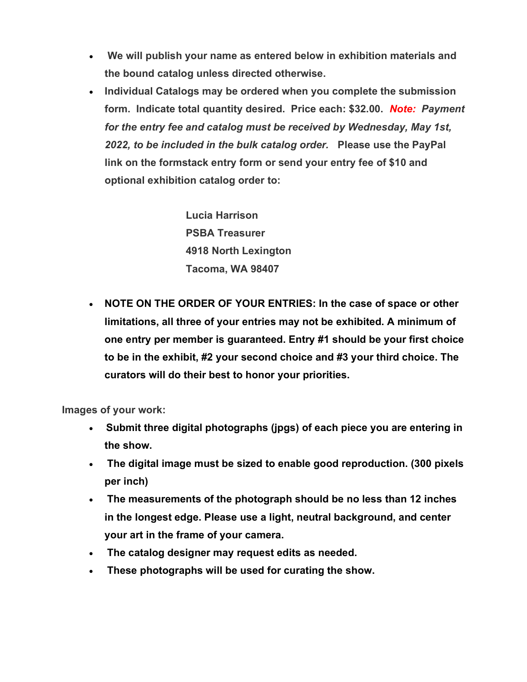- We will publish your name as entered below in exhibition materials and the bound catalog unless directed otherwise.
- Individual Catalogs may be ordered when you complete the submission form. Indicate total quantity desired. Price each: \$32.00. Note: Payment for the entry fee and catalog must be received by Wednesday, May 1st, 2022, to be included in the bulk catalog order. Please use the PayPal link on the formstack entry form or send your entry fee of \$10 and optional exhibition catalog order to:

Lucia Harrison PSBA Treasurer 4918 North Lexington Tacoma, WA 98407

• NOTE ON THE ORDER OF YOUR ENTRIES: In the case of space or other limitations, all three of your entries may not be exhibited. A minimum of one entry per member is guaranteed. Entry #1 should be your first choice to be in the exhibit, #2 your second choice and #3 your third choice. The curators will do their best to honor your priorities.

Images of your work:

- Submit three digital photographs (jpgs) of each piece you are entering in the show.
- The digital image must be sized to enable good reproduction. (300 pixels per inch)
- The measurements of the photograph should be no less than 12 inches in the longest edge. Please use a light, neutral background, and center your art in the frame of your camera.
- The catalog designer may request edits as needed.
- These photographs will be used for curating the show.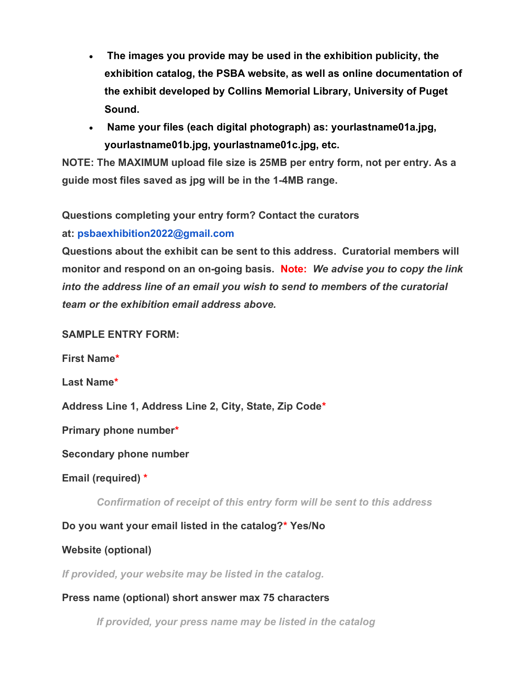- The images you provide may be used in the exhibition publicity, the exhibition catalog, the PSBA website, as well as online documentation of the exhibit developed by Collins Memorial Library, University of Puget Sound.
- Name your files (each digital photograph) as: yourlastname01a.jpg, yourlastname01b.jpg, yourlastname01c.jpg, etc.

NOTE: The MAXIMUM upload file size is 25MB per entry form, not per entry. As a guide most files saved as jpg will be in the 1-4MB range.

Questions completing your entry form? Contact the curators

#### at: psbaexhibition2022@gmail.com

Questions about the exhibit can be sent to this address. Curatorial members will monitor and respond on an on-going basis. Note: We advise you to copy the link into the address line of an email you wish to send to members of the curatorial team or the exhibition email address above.

#### SAMPLE ENTRY FORM:

First Name\*

Last Name\*

Address Line 1, Address Line 2, City, State, Zip Code\*

Primary phone number\*

Secondary phone number

Email (required) \*

Confirmation of receipt of this entry form will be sent to this address

# Do you want your email listed in the catalog?\* Yes/No

#### Website (optional)

If provided, your website may be listed in the catalog.

#### Press name (optional) short answer max 75 characters

If provided, your press name may be listed in the catalog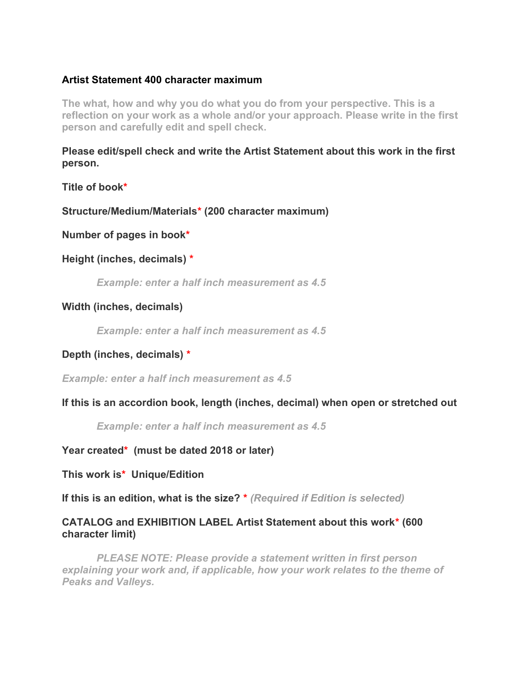#### Artist Statement 400 character maximum

The what, how and why you do what you do from your perspective. This is a reflection on your work as a whole and/or your approach. Please write in the first person and carefully edit and spell check.

Please edit/spell check and write the Artist Statement about this work in the first person.

Title of book\*

Structure/Medium/Materials\* (200 character maximum)

Number of pages in book\*

Height (inches, decimals) \*

Example: enter a half inch measurement as 4.5

#### Width (inches, decimals)

Example: enter a half inch measurement as 4.5

Depth (inches, decimals) \*

Example: enter a half inch measurement as 4.5

If this is an accordion book, length (inches, decimal) when open or stretched out

Example: enter a half inch measurement as 4.5

Year created\* (must be dated 2018 or later)

This work is\* Unique/Edition

If this is an edition, what is the size? \* (Required if Edition is selected)

#### CATALOG and EXHIBITION LABEL Artist Statement about this work\* (600 character limit)

 PLEASE NOTE: Please provide a statement written in first person explaining your work and, if applicable, how your work relates to the theme of Peaks and Valleys.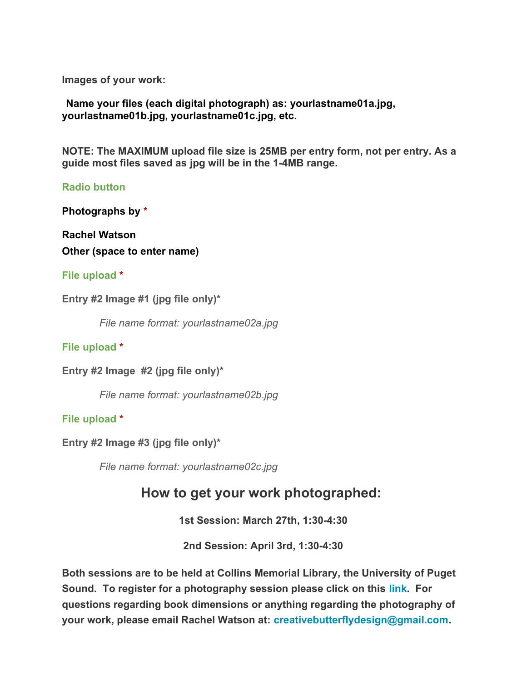Images of your work:

Name your files (each digital photograph) as: yourlastname01a.jpg, yourlastname01b.jpg, yourlastname01c.jpg, etc.

NOTE: The MAXIMUM upload file size is 25MB per entry form, not per entry. As a guide most files saved as jpg will be in the 1-4MB range.

Radio button

Photographs by \*

Rachel Watson Other (space to enter name)

#### File upload \*

Entry #2 Image #1 (jpg file only)\*

File name format: yourlastname02a.jpg

File upload \*

Entry #2 Image #2 (jpg file only)\*

File name format: yourlastname02b.jpg

File upload \*

Entry #2 Image #3 (jpg file only)\*

File name format: yourlastname02c.jpg

# How to get your work photographed:

1st Session: March 27th, 1:30-4:30

2nd Session: April 3rd, 1:30-4:30

Both sessions are to be held at Collins Memorial Library, the University of Puget Sound. To register for a photography session please click on this link. For questions regarding book dimensions or anything regarding the photography of your work, please email Rachel Watson at: creativebutterflydesign@gmail.com.